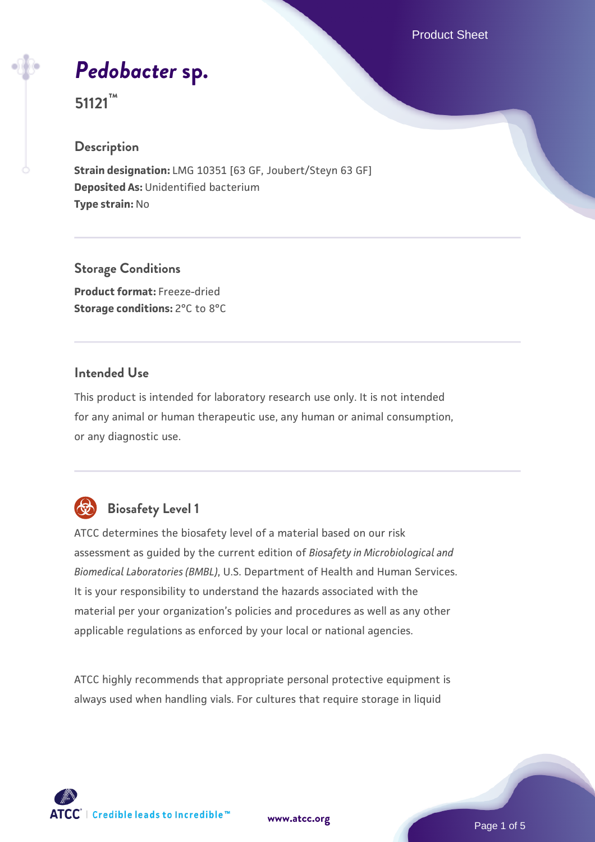Product Sheet

*[Pedobacter](https://www.atcc.org/products/51121)* **[sp.](https://www.atcc.org/products/51121)**

**51121™**

#### **Description**

**Strain designation:** LMG 10351 [63 GF, Joubert/Steyn 63 GF] **Deposited As:** Unidentified bacterium **Type strain:** No

**Storage Conditions**

**Product format:** Freeze-dried **Storage conditions:** 2°C to 8°C

## **Intended Use**

This product is intended for laboratory research use only. It is not intended for any animal or human therapeutic use, any human or animal consumption, or any diagnostic use.

# **Biosafety Level 1**

ATCC determines the biosafety level of a material based on our risk assessment as guided by the current edition of *Biosafety in Microbiological and Biomedical Laboratories (BMBL)*, U.S. Department of Health and Human Services. It is your responsibility to understand the hazards associated with the material per your organization's policies and procedures as well as any other applicable regulations as enforced by your local or national agencies.

ATCC highly recommends that appropriate personal protective equipment is always used when handling vials. For cultures that require storage in liquid

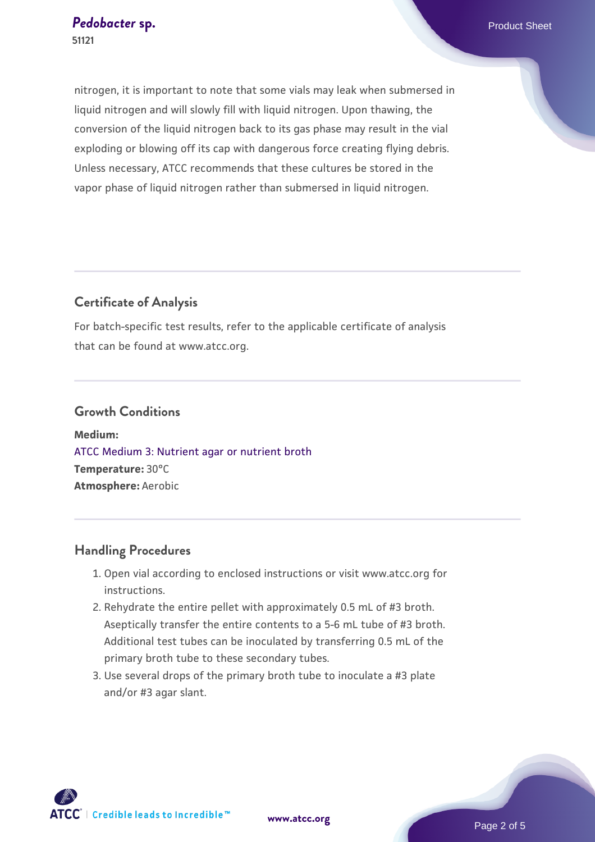nitrogen, it is important to note that some vials may leak when submersed in liquid nitrogen and will slowly fill with liquid nitrogen. Upon thawing, the conversion of the liquid nitrogen back to its gas phase may result in the vial exploding or blowing off its cap with dangerous force creating flying debris. Unless necessary, ATCC recommends that these cultures be stored in the vapor phase of liquid nitrogen rather than submersed in liquid nitrogen.

# **Certificate of Analysis**

For batch-specific test results, refer to the applicable certificate of analysis that can be found at www.atcc.org.

#### **Growth Conditions**

**Medium:**  [ATCC Medium 3: Nutrient agar or nutrient broth](https://www.atcc.org/-/media/product-assets/documents/microbial-media-formulations/3/atcc-medium-3.pdf?rev=7510837507e64d849c62a46b5b2197a1) **Temperature:** 30°C **Atmosphere:** Aerobic

# **Handling Procedures**

- 1. Open vial according to enclosed instructions or visit www.atcc.org for instructions.
- 2. Rehydrate the entire pellet with approximately 0.5 mL of #3 broth. Aseptically transfer the entire contents to a 5-6 mL tube of #3 broth. Additional test tubes can be inoculated by transferring 0.5 mL of the primary broth tube to these secondary tubes.
- 3. Use several drops of the primary broth tube to inoculate a #3 plate and/or #3 agar slant.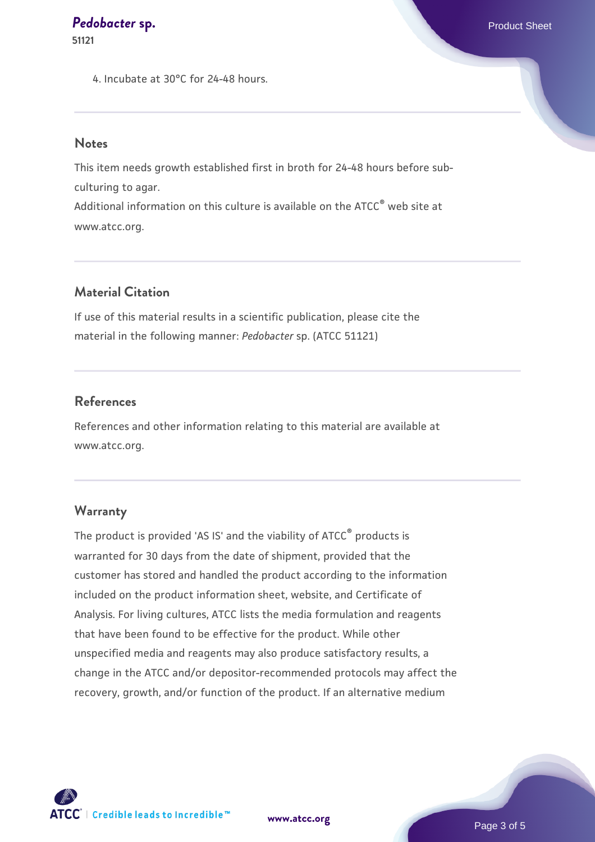**51121**

4. Incubate at 30°C for 24-48 hours.

#### **Notes**

This item needs growth established first in broth for 24-48 hours before subculturing to agar. Additional information on this culture is available on the ATCC<sup>®</sup> web site at

www.atcc.org.

# **Material Citation**

If use of this material results in a scientific publication, please cite the material in the following manner: *Pedobacter* sp. (ATCC 51121)

### **References**

References and other information relating to this material are available at www.atcc.org.

#### **Warranty**

The product is provided 'AS IS' and the viability of ATCC® products is warranted for 30 days from the date of shipment, provided that the customer has stored and handled the product according to the information included on the product information sheet, website, and Certificate of Analysis. For living cultures, ATCC lists the media formulation and reagents that have been found to be effective for the product. While other unspecified media and reagents may also produce satisfactory results, a change in the ATCC and/or depositor-recommended protocols may affect the recovery, growth, and/or function of the product. If an alternative medium

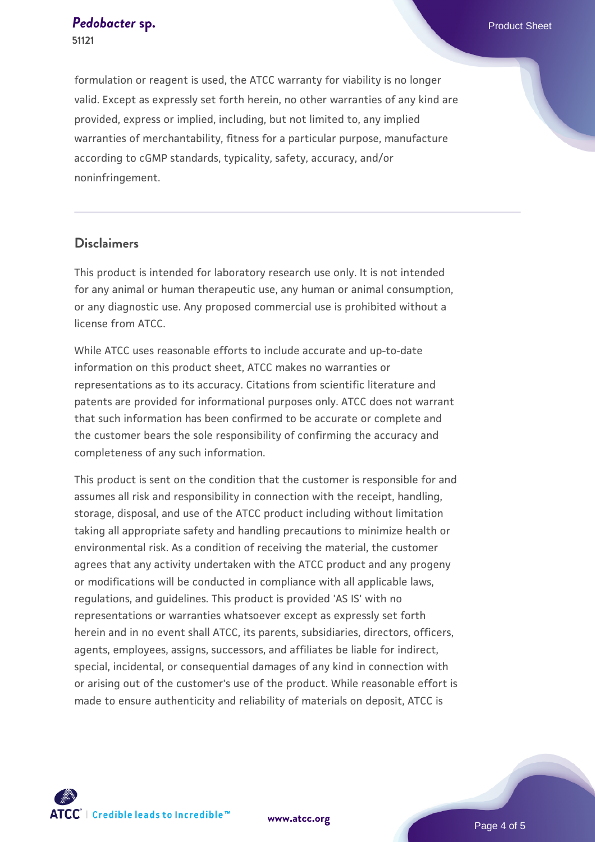formulation or reagent is used, the ATCC warranty for viability is no longer valid. Except as expressly set forth herein, no other warranties of any kind are provided, express or implied, including, but not limited to, any implied warranties of merchantability, fitness for a particular purpose, manufacture according to cGMP standards, typicality, safety, accuracy, and/or noninfringement.

## **Disclaimers**

This product is intended for laboratory research use only. It is not intended for any animal or human therapeutic use, any human or animal consumption, or any diagnostic use. Any proposed commercial use is prohibited without a license from ATCC.

While ATCC uses reasonable efforts to include accurate and up-to-date information on this product sheet, ATCC makes no warranties or representations as to its accuracy. Citations from scientific literature and patents are provided for informational purposes only. ATCC does not warrant that such information has been confirmed to be accurate or complete and the customer bears the sole responsibility of confirming the accuracy and completeness of any such information.

This product is sent on the condition that the customer is responsible for and assumes all risk and responsibility in connection with the receipt, handling, storage, disposal, and use of the ATCC product including without limitation taking all appropriate safety and handling precautions to minimize health or environmental risk. As a condition of receiving the material, the customer agrees that any activity undertaken with the ATCC product and any progeny or modifications will be conducted in compliance with all applicable laws, regulations, and guidelines. This product is provided 'AS IS' with no representations or warranties whatsoever except as expressly set forth herein and in no event shall ATCC, its parents, subsidiaries, directors, officers, agents, employees, assigns, successors, and affiliates be liable for indirect, special, incidental, or consequential damages of any kind in connection with or arising out of the customer's use of the product. While reasonable effort is made to ensure authenticity and reliability of materials on deposit, ATCC is



**[www.atcc.org](http://www.atcc.org)**